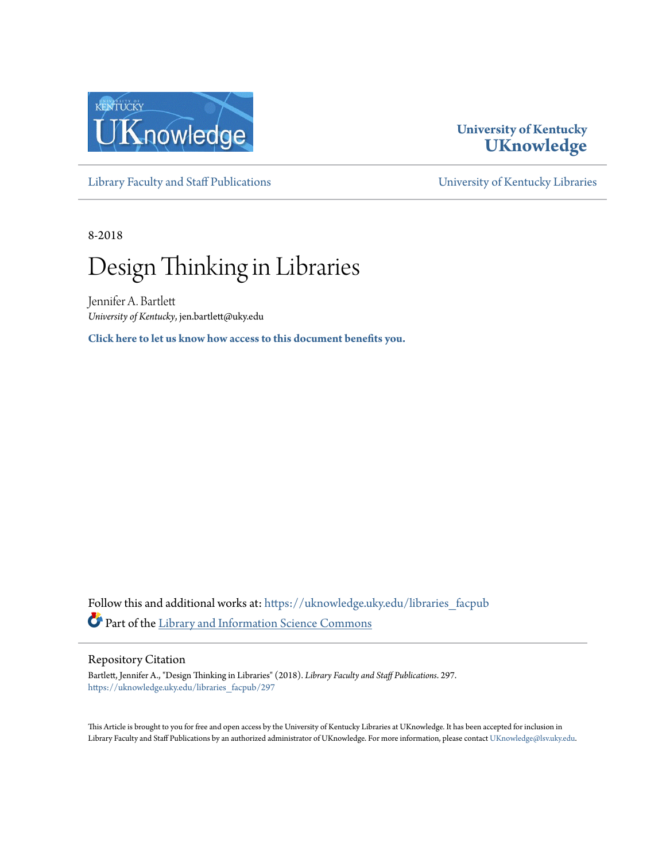

### **University of Kentucky [UKnowledge](https://uknowledge.uky.edu?utm_source=uknowledge.uky.edu%2Flibraries_facpub%2F297&utm_medium=PDF&utm_campaign=PDFCoverPages)**

[Library Faculty and Staff Publications](https://uknowledge.uky.edu/libraries_facpub?utm_source=uknowledge.uky.edu%2Flibraries_facpub%2F297&utm_medium=PDF&utm_campaign=PDFCoverPages) [University of Kentucky Libraries](https://uknowledge.uky.edu/libraries?utm_source=uknowledge.uky.edu%2Flibraries_facpub%2F297&utm_medium=PDF&utm_campaign=PDFCoverPages)

8-2018

## Design Thinking in Libraries

Jennifer A. Bartlett *University of Kentucky*, jen.bartlett@uky.edu

**[Click here to let us know how access to this document benefits you.](https://uky.az1.qualtrics.com/jfe/form/SV_9mq8fx2GnONRfz7)**

Follow this and additional works at: [https://uknowledge.uky.edu/libraries\\_facpub](https://uknowledge.uky.edu/libraries_facpub?utm_source=uknowledge.uky.edu%2Flibraries_facpub%2F297&utm_medium=PDF&utm_campaign=PDFCoverPages) Part of the [Library and Information Science Commons](http://network.bepress.com/hgg/discipline/1018?utm_source=uknowledge.uky.edu%2Flibraries_facpub%2F297&utm_medium=PDF&utm_campaign=PDFCoverPages)

#### Repository Citation

Bartlett, Jennifer A., "Design Thinking in Libraries" (2018). *Library Faculty and Staff Publications*. 297. [https://uknowledge.uky.edu/libraries\\_facpub/297](https://uknowledge.uky.edu/libraries_facpub/297?utm_source=uknowledge.uky.edu%2Flibraries_facpub%2F297&utm_medium=PDF&utm_campaign=PDFCoverPages)

This Article is brought to you for free and open access by the University of Kentucky Libraries at UKnowledge. It has been accepted for inclusion in Library Faculty and Staff Publications by an authorized administrator of UKnowledge. For more information, please contact [UKnowledge@lsv.uky.edu.](mailto:UKnowledge@lsv.uky.edu)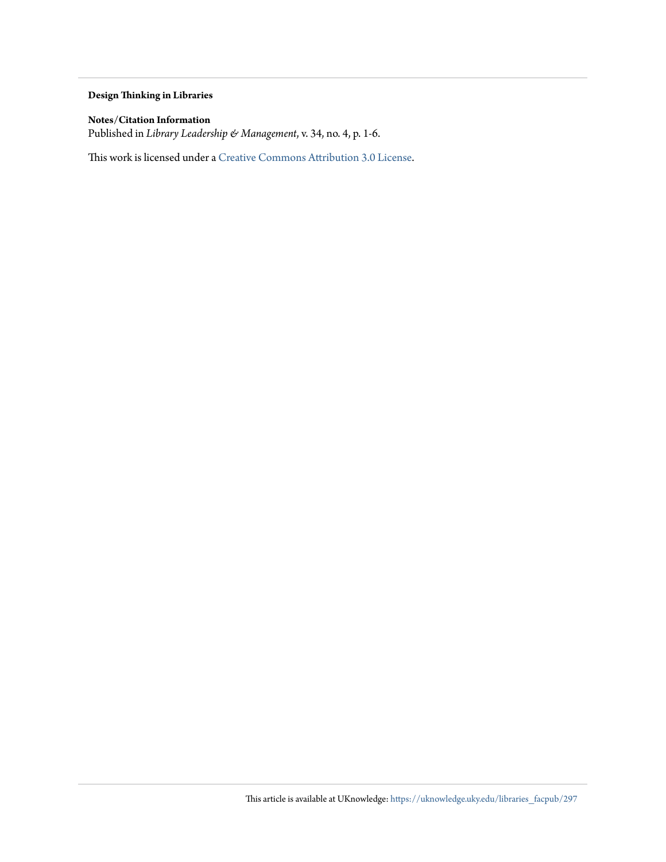#### **Design Thinking in Libraries**

#### **Notes/Citation Information**

Published in *Library Leadership & Management*, v. 34, no. 4, p. 1-6.

This work is licensed under a [Creative Commons Attribution 3.0 License.](http://creativecommons.org/licenses/by/3.0/)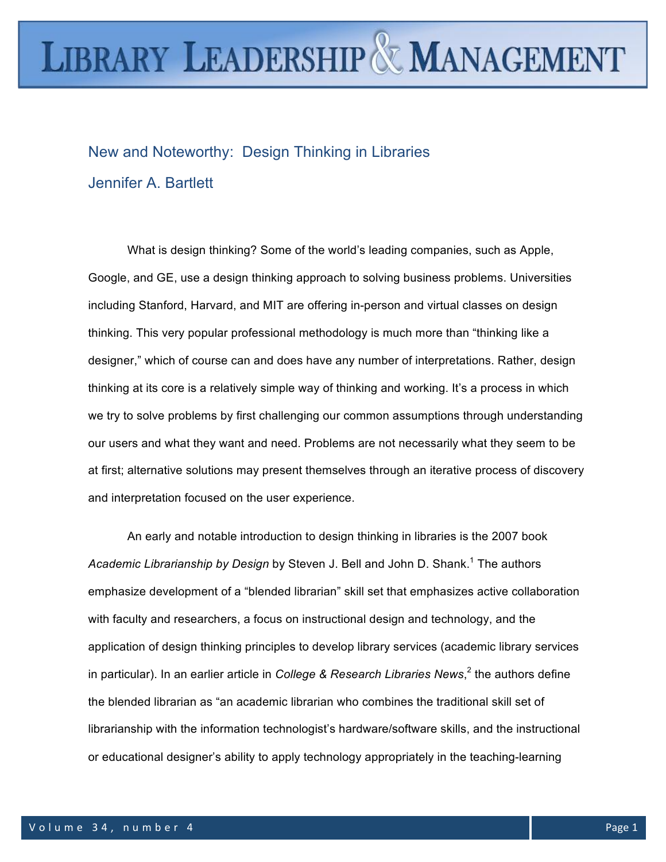# **LIBRARY LEADERSHIP & MANAGEMENT**

New and Noteworthy: Design Thinking in Libraries Jennifer A. Bartlett

What is design thinking? Some of the world's leading companies, such as Apple, Google, and GE, use a design thinking approach to solving business problems. Universities including Stanford, Harvard, and MIT are offering in-person and virtual classes on design thinking. This very popular professional methodology is much more than "thinking like a designer," which of course can and does have any number of interpretations. Rather, design thinking at its core is a relatively simple way of thinking and working. It's a process in which we try to solve problems by first challenging our common assumptions through understanding our users and what they want and need. Problems are not necessarily what they seem to be at first; alternative solutions may present themselves through an iterative process of discovery and interpretation focused on the user experience.

An early and notable introduction to design thinking in libraries is the 2007 book Academic Librarianship by Design by Steven J. Bell and John D. Shank.<sup>1</sup> The authors emphasize development of a "blended librarian" skill set that emphasizes active collaboration with faculty and researchers, a focus on instructional design and technology, and the application of design thinking principles to develop library services (academic library services in particular). In an earlier article in *College & Research Libraries News*, <sup>2</sup> the authors define the blended librarian as "an academic librarian who combines the traditional skill set of librarianship with the information technologist's hardware/software skills, and the instructional or educational designer's ability to apply technology appropriately in the teaching-learning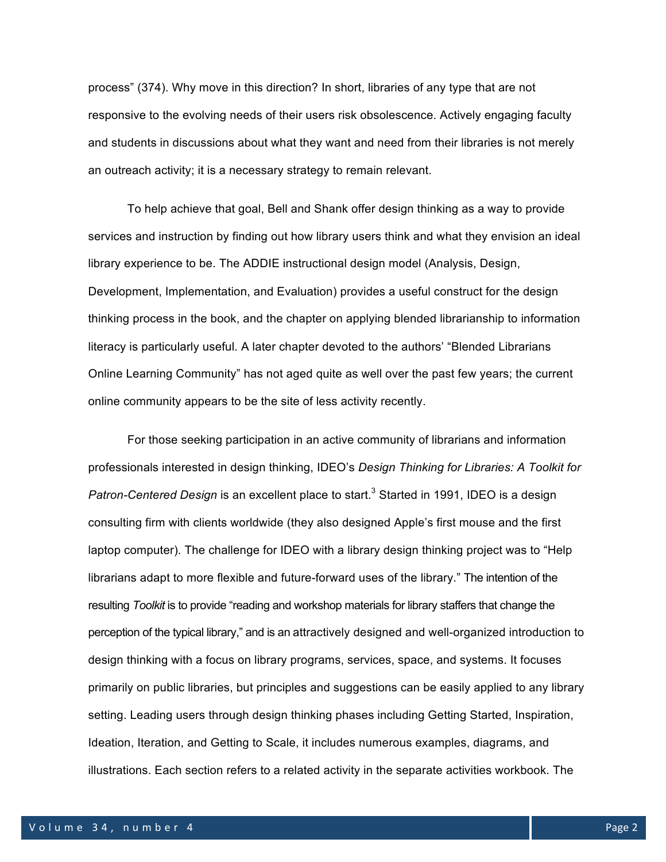process" (374). Why move in this direction? In short, libraries of any type that are not responsive to the evolving needs of their users risk obsolescence. Actively engaging faculty and students in discussions about what they want and need from their libraries is not merely an outreach activity; it is a necessary strategy to remain relevant.

To help achieve that goal, Bell and Shank offer design thinking as a way to provide services and instruction by finding out how library users think and what they envision an ideal library experience to be. The ADDIE instructional design model (Analysis, Design, Development, Implementation, and Evaluation) provides a useful construct for the design thinking process in the book, and the chapter on applying blended librarianship to information literacy is particularly useful. A later chapter devoted to the authors' "Blended Librarians Online Learning Community" has not aged quite as well over the past few years; the current online community appears to be the site of less activity recently.

For those seeking participation in an active community of librarians and information professionals interested in design thinking, IDEO's *Design Thinking for Libraries: A Toolkit for Patron-Centered Design* is an excellent place to start.<sup>3</sup> Started in 1991, IDEO is a design consulting firm with clients worldwide (they also designed Apple's first mouse and the first laptop computer). The challenge for IDEO with a library design thinking project was to "Help librarians adapt to more flexible and future-forward uses of the library." The intention of the resulting *Toolkit* is to provide "reading and workshop materials for library staffers that change the perception of the typical library," and is an attractively designed and well-organized introduction to design thinking with a focus on library programs, services, space, and systems. It focuses primarily on public libraries, but principles and suggestions can be easily applied to any library setting. Leading users through design thinking phases including Getting Started, Inspiration, Ideation, Iteration, and Getting to Scale, it includes numerous examples, diagrams, and illustrations. Each section refers to a related activity in the separate activities workbook. The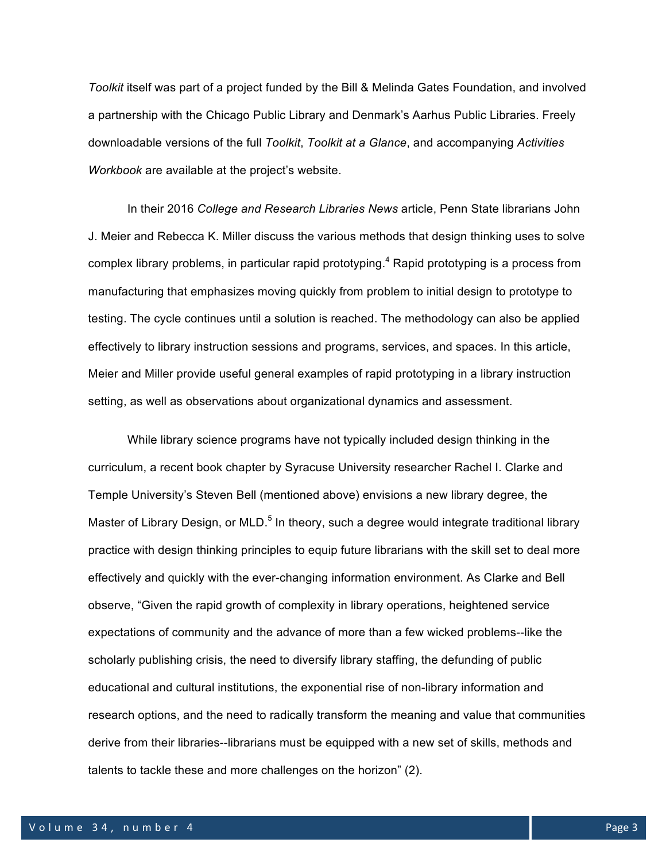*Toolkit* itself was part of a project funded by the Bill & Melinda Gates Foundation, and involved a partnership with the Chicago Public Library and Denmark's Aarhus Public Libraries. Freely downloadable versions of the full *Toolkit*, *Toolkit at a Glance*, and accompanying *Activities Workbook* are available at the project's website.

In their 2016 *College and Research Libraries News* article, Penn State librarians John J. Meier and Rebecca K. Miller discuss the various methods that design thinking uses to solve complex library problems, in particular rapid prototyping.<sup>4</sup> Rapid prototyping is a process from manufacturing that emphasizes moving quickly from problem to initial design to prototype to testing. The cycle continues until a solution is reached. The methodology can also be applied effectively to library instruction sessions and programs, services, and spaces. In this article, Meier and Miller provide useful general examples of rapid prototyping in a library instruction setting, as well as observations about organizational dynamics and assessment.

While library science programs have not typically included design thinking in the curriculum, a recent book chapter by Syracuse University researcher Rachel I. Clarke and Temple University's Steven Bell (mentioned above) envisions a new library degree, the Master of Library Design, or MLD.<sup>5</sup> In theory, such a degree would integrate traditional library practice with design thinking principles to equip future librarians with the skill set to deal more effectively and quickly with the ever-changing information environment. As Clarke and Bell observe, "Given the rapid growth of complexity in library operations, heightened service expectations of community and the advance of more than a few wicked problems--like the scholarly publishing crisis, the need to diversify library staffing, the defunding of public educational and cultural institutions, the exponential rise of non-library information and research options, and the need to radically transform the meaning and value that communities derive from their libraries--librarians must be equipped with a new set of skills, methods and talents to tackle these and more challenges on the horizon" (2).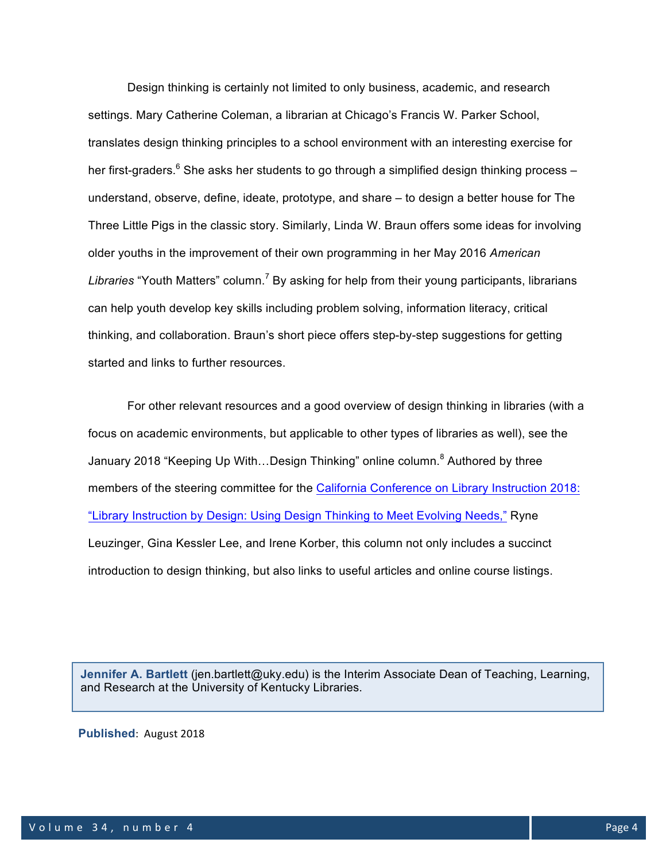Design thinking is certainly not limited to only business, academic, and research settings. Mary Catherine Coleman, a librarian at Chicago's Francis W. Parker School, translates design thinking principles to a school environment with an interesting exercise for her first-graders. $6$  She asks her students to go through a simplified design thinking process  $$ understand, observe, define, ideate, prototype, and share – to design a better house for The Three Little Pigs in the classic story. Similarly, Linda W. Braun offers some ideas for involving older youths in the improvement of their own programming in her May 2016 *American Libraries* "Youth Matters" column.<sup>7</sup> By asking for help from their young participants, librarians can help youth develop key skills including problem solving, information literacy, critical thinking, and collaboration. Braun's short piece offers step-by-step suggestions for getting started and links to further resources.

For other relevant resources and a good overview of design thinking in libraries (with a focus on academic environments, but applicable to other types of libraries as well), see the January 2018 "Keeping Up With...Design Thinking" online column.<sup>8</sup> Authored by three members of the steering committee for the California Conference on Library Instruction 2018: "Library Instruction by Design: Using Design Thinking to Meet Evolving Needs," Ryne Leuzinger, Gina Kessler Lee, and Irene Korber, this column not only includes a succinct introduction to design thinking, but also links to useful articles and online course listings.

**Jennifer A. Bartlett** (jen.bartlett@uky.edu) is the Interim Associate Dean of Teaching, Learning, and Research at the University of Kentucky Libraries.

**Published: August 2018**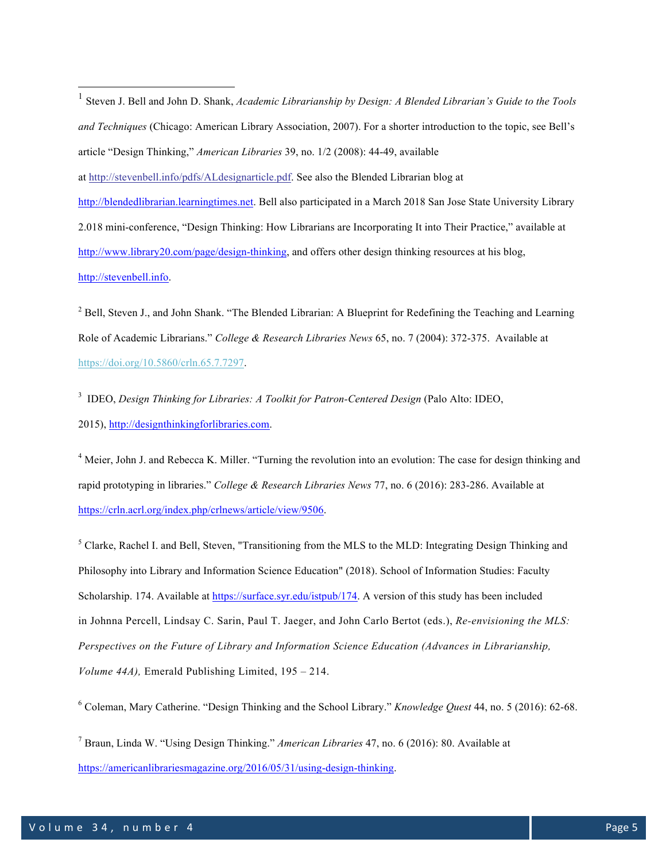*and Techniques* (Chicago: American Library Association, 2007). For a shorter introduction to the topic, see Bell's article "Design Thinking," *American Libraries* 39, no. 1/2 (2008): 44-49, available at http://stevenbell.info/pdfs/ALdesignarticle.pdf. See also the Blended Librarian blog at http://blendedlibrarian.learningtimes.net. Bell also participated in a March 2018 San Jose State University Library 2.018 mini-conference, "Design Thinking: How Librarians are Incorporating It into Their Practice," available at http://www.library20.com/page/design-thinking, and offers other design thinking resources at his blog, http://stevenbell.info. <sup>2</sup> Bell, Steven J., and John Shank. "The Blended Librarian: A Blueprint for Redefining the Teaching and Learning

 <sup>1</sup> Steven J. Bell and John D. Shank, *Academic Librarianship by Design: <sup>A</sup> Blended Librarian's Guide to the Tools*

Role of Academic Librarians." *College & Research Libraries News* 65, no. 7 (2004): 372-375. Available at https://doi.org/10.5860/crln.65.7.7297.

<sup>3</sup> IDEO, *Design Thinking for Libraries: A Toolkit for Patron-Centered Design* (Palo Alto: IDEO, 2015), http://designthinkingforlibraries.com.

<sup>4</sup> Meier, John J. and Rebecca K. Miller. "Turning the revolution into an evolution: The case for design thinking and rapid prototyping in libraries." *College & Research Libraries News* 77, no. 6 (2016): 283-286. Available at https://crln.acrl.org/index.php/crlnews/article/view/9506.

<sup>5</sup> Clarke, Rachel I. and Bell, Steven, "Transitioning from the MLS to the MLD: Integrating Design Thinking and Philosophy into Library and Information Science Education" (2018). School of Information Studies: Faculty Scholarship. 174. Available at https://surface.syr.edu/istpub/174. A version of this study has been included in Johnna Percell, Lindsay C. Sarin, Paul T. Jaeger, and John Carlo Bertot (eds.), *Re-envisioning the MLS: Perspectives on the Future of Library and Information Science Education (Advances in Librarianship, Volume 44A),* Emerald Publishing Limited, 195 – 214.

<sup>6</sup> Coleman, Mary Catherine. "Design Thinking and the School Library." *Knowledge Quest* 44, no. 5 (2016): 62-68.

<sup>7</sup> Braun, Linda W. "Using Design Thinking." *American Libraries* 47, no. 6 (2016): 80. Available at https://americanlibrariesmagazine.org/2016/05/31/using-design-thinking.